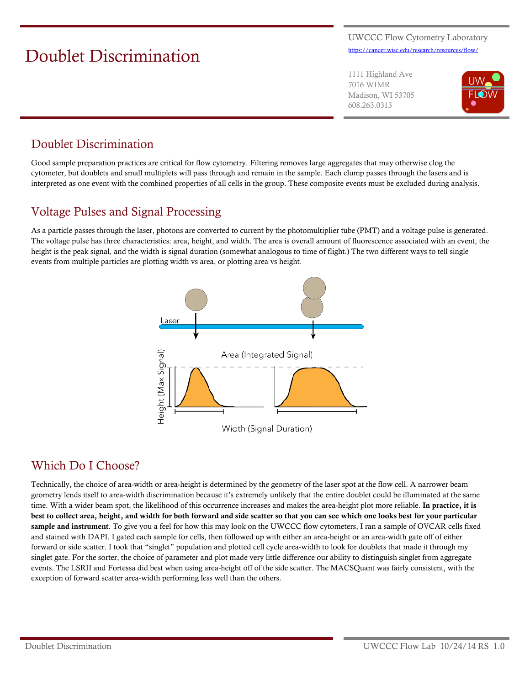# Doublet Discrimination

UWCCC Flow Cytometry Laboratory <https://cancer.wisc.edu/research/resources/flow/>

1111 Highland Ave 7016 WIMR Madison, WI 53705 608.263.0313



## Doublet Discrimination

Good sample preparation practices are critical for flow cytometry. Filtering removes large aggregates that may otherwise clog the cytometer, but doublets and small multiplets will pass through and remain in the sample. Each clump passes through the lasers and is interpreted as one event with the combined properties of all cells in the group. These composite events must be excluded during analysis.

#### Voltage Pulses and Signal Processing

As a particle passes through the laser, photons are converted to current by the photomultiplier tube (PMT) and a voltage pulse is generated. The voltage pulse has three characteristics: area, height, and width. The area is overall amount of fluorescence associated with an event, the height is the peak signal, and the width is signal duration (somewhat analogous to time of flight.) The two different ways to tell single events from multiple particles are plotting width vs area, or plotting area vs height.



#### Which Do I Choose?

Technically, the choice of area-width or area-height is determined by the geometry of the laser spot at the flow cell. A narrower beam geometry lends itself to area-width discrimination because it's extremely unlikely that the entire doublet could be illuminated at the same time. With a wider beam spot, the likelihood of this occurrence increases and makes the area-height plot more reliable. In practice, it is best to collect area, height, and width for both forward and side scatter so that you can see which one looks best for your particular sample and instrument. To give you a feel for how this may look on the UWCCC flow cytometers, I ran a sample of OVCAR cells fixed and stained with DAPI. I gated each sample for cells, then followed up with either an area-height or an area-width gate off of either forward or side scatter. I took that "singlet" population and plotted cell cycle area-width to look for doublets that made it through my singlet gate. For the sorter, the choice of parameter and plot made very little difference our ability to distinguish singlet from aggregate events. The LSRII and Fortessa did best when using area-height off of the side scatter. The MACSQuant was fairly consistent, with the exception of forward scatter area-width performing less well than the others.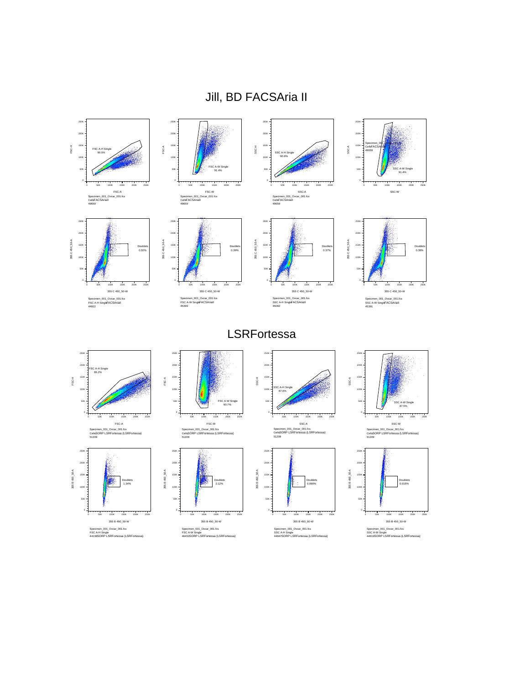# Jill, BD FACSAria II